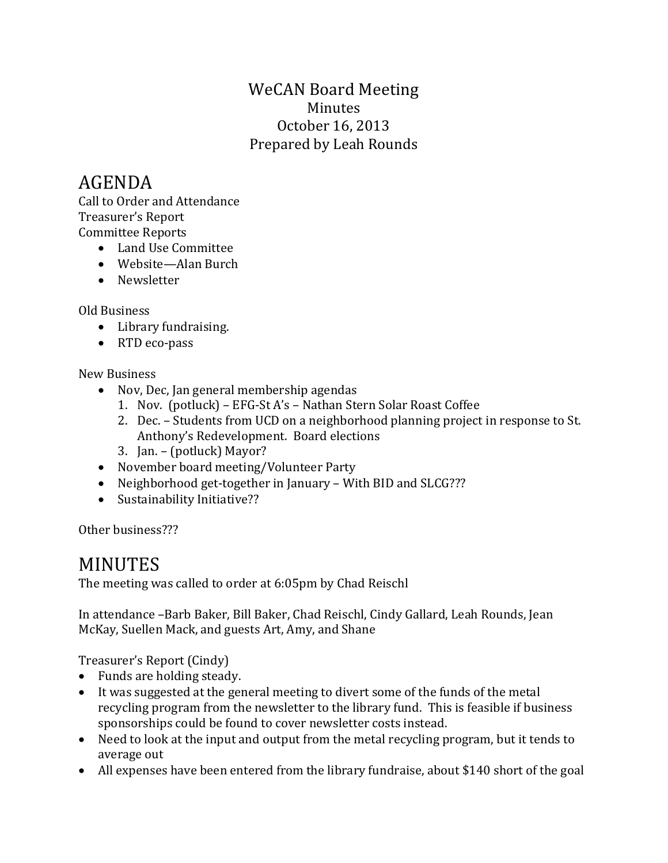## WeCAN Board Meeting Minutes October 16, 2013 Prepared by Leah Rounds

# AGENDA

Call to Order and Attendance Treasurer's Report Committee Reports

- Land Use Committee
- Website—Alan Burch
- Newsletter

Old Business

- Library fundraising.
- RTD eco-pass

### New Business

- Nov, Dec, Jan general membership agendas
	- 1. Nov. (potluck) EFG-St A's Nathan Stern Solar Roast Coffee
	- 2. Dec. Students from UCD on a neighborhood planning project in response to St. Anthony's Redevelopment. Board elections
	- 3. Jan. (potluck) Mayor?
- November board meeting/Volunteer Party
- Neighborhood get-together in January With BID and SLCG???
- Sustainability Initiative??

Other business???

# MINUTES

The meeting was called to order at 6:05pm by Chad Reischl

In attendance –Barb Baker, Bill Baker, Chad Reischl, Cindy Gallard, Leah Rounds, Jean McKay, Suellen Mack, and guests Art, Amy, and Shane

Treasurer's Report (Cindy)

- Funds are holding steady.
- It was suggested at the general meeting to divert some of the funds of the metal recycling program from the newsletter to the library fund. This is feasible if business sponsorships could be found to cover newsletter costs instead.
- Need to look at the input and output from the metal recycling program, but it tends to average out
- All expenses have been entered from the library fundraise, about \$140 short of the goal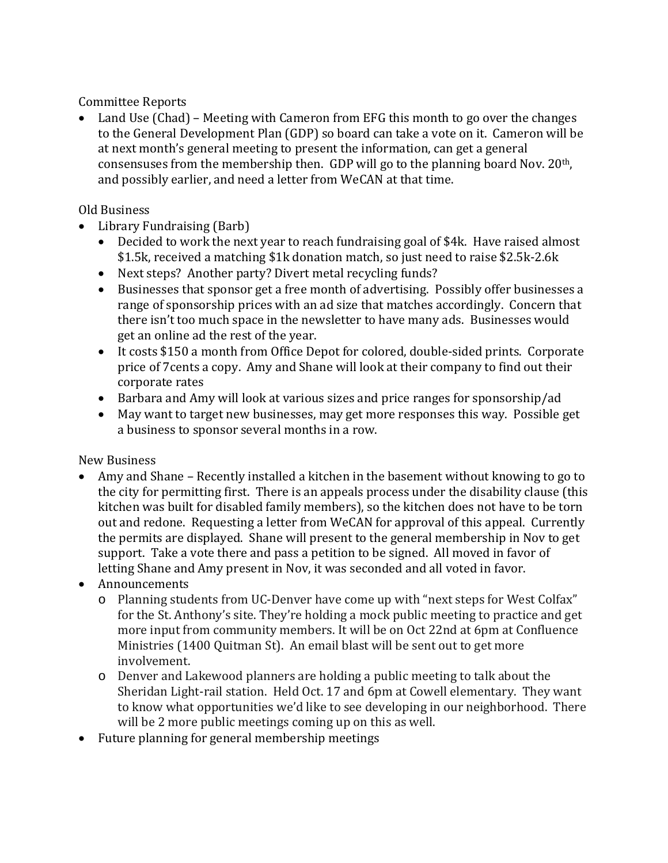Committee Reports

• Land Use (Chad) – Meeting with Cameron from EFG this month to go over the changes to the General Development Plan (GDP) so board can take a vote on it. Cameron will be at next month's general meeting to present the information, can get a general consensuses from the membership then. GDP will go to the planning board Nov. 20th, and possibly earlier, and need a letter from WeCAN at that time.

#### Old Business

- Library Fundraising (Barb)
	- Decided to work the next year to reach fundraising goal of \$4k. Have raised almost \$1.5k, received a matching \$1k donation match, so just need to raise \$2.5k-2.6k
	- Next steps? Another party? Divert metal recycling funds?
	- Businesses that sponsor get a free month of advertising. Possibly offer businesses a range of sponsorship prices with an ad size that matches accordingly. Concern that there isn't too much space in the newsletter to have many ads. Businesses would get an online ad the rest of the year.
	- It costs \$150 a month from Office Depot for colored, double-sided prints. Corporate price of 7cents a copy. Amy and Shane will look at their company to find out their corporate rates
	- Barbara and Amy will look at various sizes and price ranges for sponsorship/ad
	- May want to target new businesses, may get more responses this way. Possible get a business to sponsor several months in a row.

#### New Business

• Amy and Shane – Recently installed a kitchen in the basement without knowing to go to the city for permitting first. There is an appeals process under the disability clause (this kitchen was built for disabled family members), so the kitchen does not have to be torn out and redone. Requesting a letter from WeCAN for approval of this appeal. Currently the permits are displayed. Shane will present to the general membership in Nov to get support. Take a vote there and pass a petition to be signed. All moved in favor of letting Shane and Amy present in Nov, it was seconded and all voted in favor.

### • Announcements

- o Planning students from UC-Denver have come up with "next steps for West Colfax" for the St. Anthony's site. They're holding a mock public meeting to practice and get more input from community members. It will be on Oct 22nd at 6pm at Confluence Ministries (1400 Quitman St). An email blast will be sent out to get more involvement.
- o Denver and Lakewood planners are holding a public meeting to talk about the Sheridan Light-rail station. Held Oct. 17 and 6pm at Cowell elementary. They want to know what opportunities we'd like to see developing in our neighborhood. There will be 2 more public meetings coming up on this as well.
- Future planning for general membership meetings